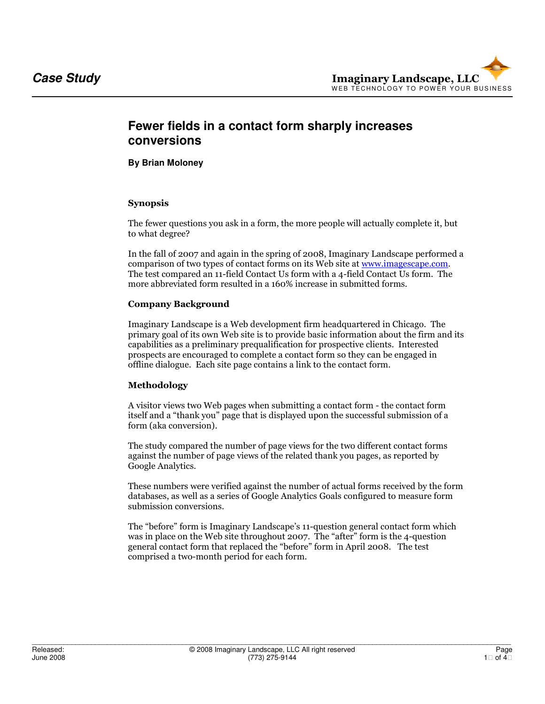# **Fewer fields in a contact form sharply increases conversions**

**By Brian Moloney** 

# Synopsis

The fewer questions you ask in a form, the more people will actually complete it, but to what degree?

In the fall of 2007 and again in the spring of 2008, Imaginary Landscape performed a comparison of two types of contact forms on its Web site at www.imagescape.com. The test compared an 11-field Contact Us form with a 4-field Contact Us form. The more abbreviated form resulted in a 160% increase in submitted forms.

# Company Background

Imaginary Landscape is a Web development firm headquartered in Chicago. The primary goal of its own Web site is to provide basic information about the firm and its capabilities as a preliminary prequalification for prospective clients. Interested prospects are encouraged to complete a contact form so they can be engaged in offline dialogue. Each site page contains a link to the contact form.

### Methodology

A visitor views two Web pages when submitting a contact form - the contact form itself and a "thank you" page that is displayed upon the successful submission of a form (aka conversion).

The study compared the number of page views for the two different contact forms against the number of page views of the related thank you pages, as reported by Google Analytics.

These numbers were verified against the number of actual forms received by the form databases, as well as a series of Google Analytics Goals configured to measure form submission conversions.

The "before" form is Imaginary Landscape's 11-question general contact form which was in place on the Web site throughout 2007. The "after" form is the 4-question general contact form that replaced the "before" form in April 2008. The test comprised a two-month period for each form.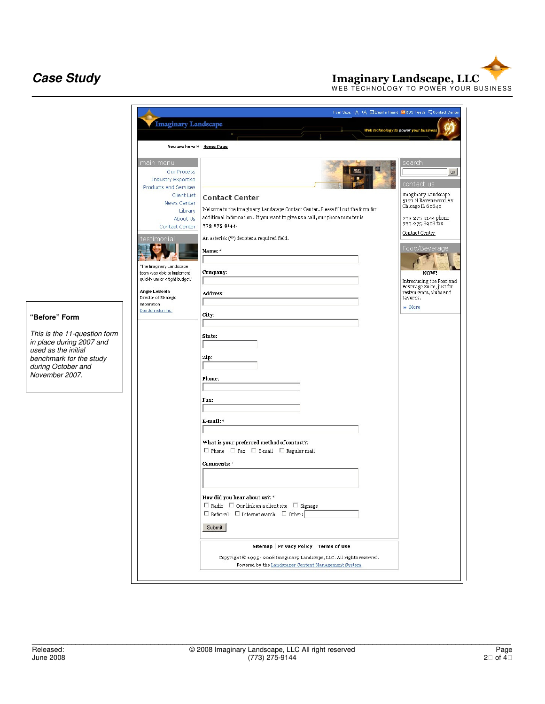**Case Study**<br>
WEB TECHNOLOGY TO POWER YOUR BUSINESS<br>
WEB TECHNOLOGY TO POWER YOUR BUSINESS

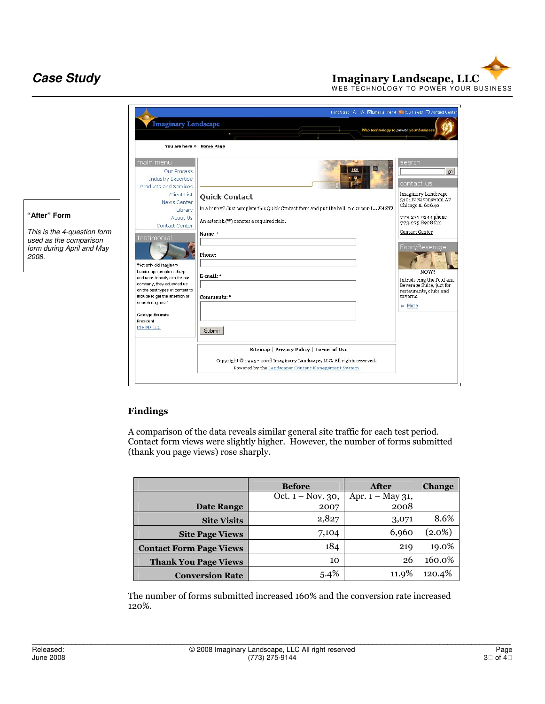**Case Study**<br>
WEB TECHNOLOGY TO POWER YOUR BUSINESS<br>
WEB TECHNOLOGY TO POWER YOUR BUSINESS



### Findings

A comparison of the data reveals similar general site traffic for each test period. Contact form views were slightly higher. However, the number of forms submitted (thank you page views) rose sharply.

|                                | <b>Before</b>        | After               | <b>Change</b> |
|--------------------------------|----------------------|---------------------|---------------|
|                                | Oct. $1 - Nov. 30$ , | Apr. $1 - May 31$ , |               |
| <b>Date Range</b>              | 2007                 | 2008                |               |
| <b>Site Visits</b>             | 2,827                | 3,071               | 8.6%          |
| <b>Site Page Views</b>         | 7,104                | 6,960               | $(2.0\%)$     |
| <b>Contact Form Page Views</b> | 184                  | 219                 | 19.0%         |
| <b>Thank You Page Views</b>    | 10                   | 26                  | 160.0%        |
| <b>Conversion Rate</b>         | 5.4%                 | 11.9%               | 120.4%        |

The number of forms submitted increased 160% and the conversion rate increased 120%.